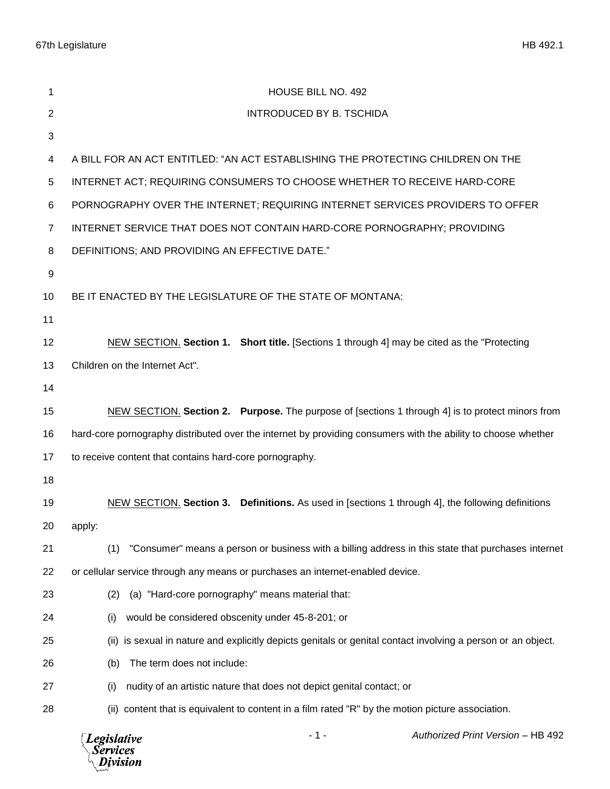67th Legislature HB 492.1

| 1              | HOUSE BILL NO. 492                                                                                            |  |  |
|----------------|---------------------------------------------------------------------------------------------------------------|--|--|
| $\overline{2}$ | <b>INTRODUCED BY B. TSCHIDA</b>                                                                               |  |  |
| 3              |                                                                                                               |  |  |
| 4              | A BILL FOR AN ACT ENTITLED: "AN ACT ESTABLISHING THE PROTECTING CHILDREN ON THE                               |  |  |
| $\sqrt{5}$     | INTERNET ACT; REQUIRING CONSUMERS TO CHOOSE WHETHER TO RECEIVE HARD-CORE                                      |  |  |
| 6              | PORNOGRAPHY OVER THE INTERNET; REQUIRING INTERNET SERVICES PROVIDERS TO OFFER                                 |  |  |
| $\overline{7}$ | INTERNET SERVICE THAT DOES NOT CONTAIN HARD-CORE PORNOGRAPHY; PROVIDING                                       |  |  |
| 8              | DEFINITIONS; AND PROVIDING AN EFFECTIVE DATE."                                                                |  |  |
| 9              |                                                                                                               |  |  |
| 10             | BE IT ENACTED BY THE LEGISLATURE OF THE STATE OF MONTANA:                                                     |  |  |
| 11             |                                                                                                               |  |  |
| 12             | NEW SECTION. Section 1. Short title. [Sections 1 through 4] may be cited as the "Protecting                   |  |  |
| 13             | Children on the Internet Act".                                                                                |  |  |
| 14             |                                                                                                               |  |  |
| 15             | NEW SECTION. Section 2. Purpose. The purpose of [sections 1 through 4] is to protect minors from              |  |  |
| 16             | hard-core pornography distributed over the internet by providing consumers with the ability to choose whether |  |  |
| 17             | to receive content that contains hard-core pornography.                                                       |  |  |
| 18             |                                                                                                               |  |  |
| 19             | NEW SECTION. Section 3. Definitions. As used in [sections 1 through 4], the following definitions             |  |  |
| 20             | apply:                                                                                                        |  |  |
| 21             | "Consumer" means a person or business with a billing address in this state that purchases internet<br>(1)     |  |  |
| 22             | or cellular service through any means or purchases an internet-enabled device.                                |  |  |
| 23             | (a) "Hard-core pornography" means material that:<br>(2)                                                       |  |  |
| 24             | would be considered obscenity under 45-8-201; or<br>(i)                                                       |  |  |
| 25             | (ii) is sexual in nature and explicitly depicts genitals or genital contact involving a person or an object.  |  |  |
| 26             | The term does not include:<br>(b)                                                                             |  |  |
| 27             | nudity of an artistic nature that does not depict genital contact; or<br>(i)                                  |  |  |
| 28             | (ii) content that is equivalent to content in a film rated "R" by the motion picture association.             |  |  |
|                | Authorized Print Version - HB 492<br>- 1 -<br><b>Legislative</b><br>Services<br>Division                      |  |  |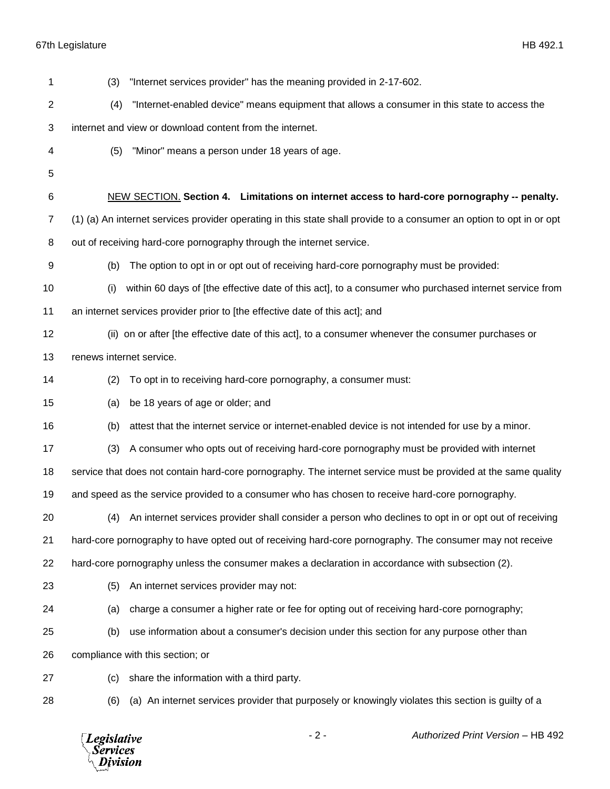67th Legislature HB 492.1

| 1                                          | (3)                                                                                                                  | "Internet services provider" has the meaning provided in 2-17-602.                                       |  |  |
|--------------------------------------------|----------------------------------------------------------------------------------------------------------------------|----------------------------------------------------------------------------------------------------------|--|--|
| $\overline{2}$                             | (4)                                                                                                                  | "Internet-enabled device" means equipment that allows a consumer in this state to access the             |  |  |
| 3                                          | internet and view or download content from the internet.                                                             |                                                                                                          |  |  |
| 4                                          | (5)                                                                                                                  | "Minor" means a person under 18 years of age.                                                            |  |  |
| 5                                          |                                                                                                                      |                                                                                                          |  |  |
| 6                                          |                                                                                                                      | NEW SECTION. Section 4. Limitations on internet access to hard-core pornography -- penalty.              |  |  |
| 7                                          | (1) (a) An internet services provider operating in this state shall provide to a consumer an option to opt in or opt |                                                                                                          |  |  |
| 8                                          | out of receiving hard-core pornography through the internet service.                                                 |                                                                                                          |  |  |
| 9                                          | (b)                                                                                                                  | The option to opt in or opt out of receiving hard-core pornography must be provided:                     |  |  |
| 10                                         | (i)                                                                                                                  | within 60 days of [the effective date of this act], to a consumer who purchased internet service from    |  |  |
| 11                                         | an internet services provider prior to [the effective date of this act]; and                                         |                                                                                                          |  |  |
| 12                                         |                                                                                                                      | (ii) on or after [the effective date of this act], to a consumer whenever the consumer purchases or      |  |  |
| 13                                         | renews internet service.                                                                                             |                                                                                                          |  |  |
| 14                                         | (2)                                                                                                                  | To opt in to receiving hard-core pornography, a consumer must:                                           |  |  |
| 15                                         | (a)                                                                                                                  | be 18 years of age or older; and                                                                         |  |  |
| 16                                         | (b)                                                                                                                  | attest that the internet service or internet-enabled device is not intended for use by a minor.          |  |  |
| 17                                         | (3)                                                                                                                  | A consumer who opts out of receiving hard-core pornography must be provided with internet                |  |  |
| 18                                         | service that does not contain hard-core pornography. The internet service must be provided at the same quality       |                                                                                                          |  |  |
| 19                                         | and speed as the service provided to a consumer who has chosen to receive hard-core pornography.                     |                                                                                                          |  |  |
| 20                                         |                                                                                                                      | (4) An internet services provider shall consider a person who declines to opt in or opt out of receiving |  |  |
| 21                                         |                                                                                                                      | hard-core pornography to have opted out of receiving hard-core pornography. The consumer may not receive |  |  |
| 22                                         | hard-core pornography unless the consumer makes a declaration in accordance with subsection (2).                     |                                                                                                          |  |  |
| 23                                         | (5)                                                                                                                  | An internet services provider may not:                                                                   |  |  |
| 24                                         | (a)                                                                                                                  | charge a consumer a higher rate or fee for opting out of receiving hard-core pornography;                |  |  |
| 25                                         | (b)                                                                                                                  | use information about a consumer's decision under this section for any purpose other than                |  |  |
| 26                                         |                                                                                                                      | compliance with this section; or                                                                         |  |  |
| 27                                         | (c)                                                                                                                  | share the information with a third party.                                                                |  |  |
| 28                                         | (6)                                                                                                                  | (a) An internet services provider that purposely or knowingly violates this section is guilty of a       |  |  |
| <b>Legislative</b><br>Services<br>Dįvision |                                                                                                                      | $-2-$<br>Authorized Print Version - HB 492                                                               |  |  |